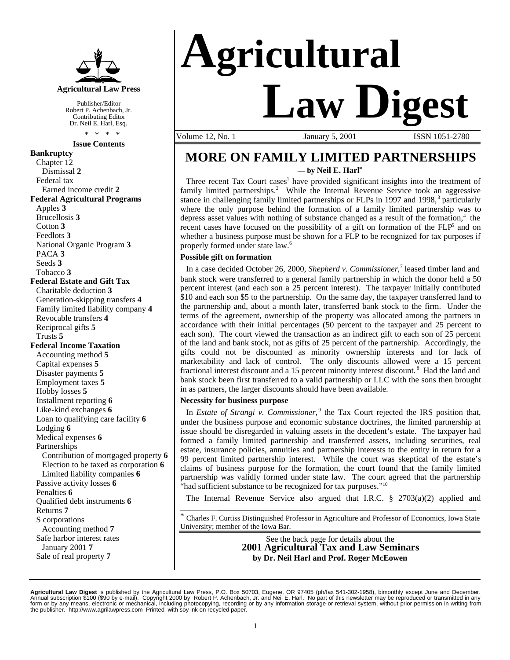

Publisher/Editor Robert P. Achenbach, Jr. Contributing Editor Dr. Neil E. Harl, Esq. \* \* \* \*

#### **Issue Contents**

**Bankruptcy** Chapter 12 Dismissal **2** Federal tax Earned income credit **2 Federal Agricultural Programs** Apples **3** Brucellosis **3** Cotton **3** Feedlots **3** National Organic Program **3** PACA **3** Seeds **3** Tobacco **3 Federal Estate and Gift Tax** Charitable deduction **3** Generation-skipping transfers **4** Family limited liability company **4** Revocable transfers **4** Reciprocal gifts **5** Trusts **5 Federal Income Taxation** Accounting method **5** Capital expenses **5** Disaster payments **5** Employment taxes **5** Hobby losses **5** Installment reporting **6** Like-kind exchanges **6** Loan to qualifying care facility **6** Lodging **6** Medical expenses **6** Partnerships Contribution of mortgaged property **6** Election to be taxed as corporation **6** Limited liability companies **6** Passive activity losses **6** Penalties **6** Qualified debt instruments **6** Returns **7** S corporations Accounting method **7** Safe harbor interest rates January 2001 **7** Sale of real property **7**

# **Agricultural Law Digest**

Volume 12, No. 1 **January 5, 2001** ISSN 1051-2780

### **MORE ON FAMILY LIMITED PARTNERSHIPS — by Neil E. Harl\***

Three recent Tax Court cases<sup>1</sup> have provided significant insights into the treatment of family limited partnerships.<sup>2</sup> While the Internal Revenue Service took an aggressive stance in challenging family limited partnerships or FLPs in 1997 and 1998,<sup>3</sup> particularly where the only purpose behind the formation of a family limited partnership was to depress asset values with nothing of substance changed as a result of the formation, $4$  the recent cases have focused on the possibility of a gift on formation of the FLP<sup>5</sup> and on whether a business purpose must be shown for a FLP to be recognized for tax purposes if properly formed under state law.<sup>6</sup>

#### **Possible gift on formation**

In a case decided October 26, 2000, *Shepherd v. Commissioner*,<sup>7</sup> leased timber land and bank stock were transferred to a general family partnership in which the donor held a 50 percent interest (and each son a 25 percent interest). The taxpayer initially contributed \$10 and each son \$5 to the partnership. On the same day, the taxpayer transferred land to the partnership and, about a month later, transferred bank stock to the firm. Under the terms of the agreement, ownership of the property was allocated among the partners in accordance with their initial percentages (50 percent to the taxpayer and 25 percent to each son). The court viewed the transaction as an indirect gift to each son of 25 percent of the land and bank stock, not as gifts of 25 percent of the partnership. Accordingly, the gifts could not be discounted as minority ownership interests and for lack of marketability and lack of control. The only discounts allowed were a 15 percent fractional interest discount and a 15 percent minority interest discount.<sup>8</sup> Had the land and bank stock been first transferred to a valid partnership or LLC with the sons then brought in as partners, the larger discounts should have been available.

#### **Necessity for business purpose**

In *Estate of Strangi v. Commissioner*, 9 the Tax Court rejected the IRS position that, under the business purpose and economic substance doctrines, the limited partnership at issue should be disregarded in valuing assets in the decedent's estate. The taxpayer had formed a family limited partnership and transferred assets, including securities, real estate, insurance policies, annuities and partnership interests to the entity in return for a 99 percent limited partnership interest. While the court was skeptical of the estate's claims of business purpose for the formation, the court found that the family limited partnership was validly formed under state law. The court agreed that the partnership "had sufficient substance to be recognized for tax purposes."<sup>10</sup>

The Internal Revenue Service also argued that I.R.C.  $\S$  2703(a)(2) applied and \_\_\_\_\_\_\_\_\_\_\_\_\_\_\_\_\_\_\_\_\_\_\_\_\_\_\_\_\_\_\_\_\_\_\_\_\_\_\_\_\_\_\_\_\_\_\_\_\_\_\_\_\_\_\_\_\_\_\_\_\_\_\_\_\_\_\_\_\_\_\_\_\_\_\_\_\_\_

\* Charles F. Curtiss Distinguished Professor in Agriculture and Professor of Economics, Iowa State University; member of the Iowa Bar.

> See the back page for details about the **2001 Agricultural Tax and Law Seminars by Dr. Neil Harl and Prof. Roger McEowen**

**Agricultural Law Digest** is published by the Agricultural Law Press, P.O. Box 50703, Eugene, OR 97405 (ph/fax 541-302-1958), bimonthly except June and December.<br>Annual subscription \$100 (\$90 by e-mail). Copyright 2000 by the publisher. http://www.agrilawpress.com Printed with soy ink on recycled paper.